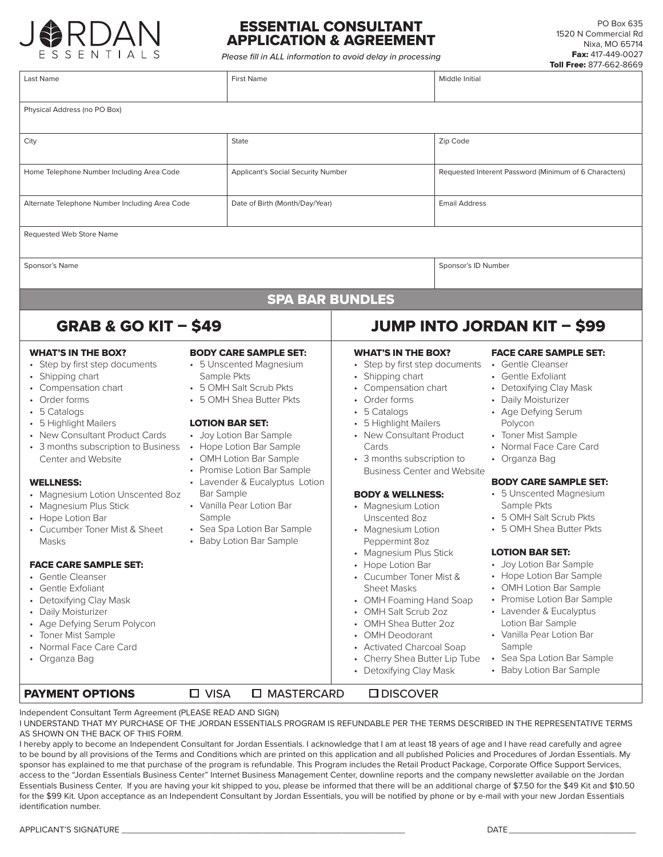

## ESSENTIAL CONSULTANT APPLICATION & AGREEMENT

*Please fill in ALL information to avoid delay in processing*

| Last Name                                                                                                                                                                                                                                                                                                                                                                                                                                                                                                                                                                                                                    | <b>First Name</b>                                                                                                                                                                                                                                                                                                                                                                                                                 |                                                                                                                                                                                                                                                                                                                                                                                                                                                                                                                                                                                                                    |  | Middle Initial                                                                                                                                                                                                                                                                                                                                                                                                                                                                                                                                                                                    |  |
|------------------------------------------------------------------------------------------------------------------------------------------------------------------------------------------------------------------------------------------------------------------------------------------------------------------------------------------------------------------------------------------------------------------------------------------------------------------------------------------------------------------------------------------------------------------------------------------------------------------------------|-----------------------------------------------------------------------------------------------------------------------------------------------------------------------------------------------------------------------------------------------------------------------------------------------------------------------------------------------------------------------------------------------------------------------------------|--------------------------------------------------------------------------------------------------------------------------------------------------------------------------------------------------------------------------------------------------------------------------------------------------------------------------------------------------------------------------------------------------------------------------------------------------------------------------------------------------------------------------------------------------------------------------------------------------------------------|--|---------------------------------------------------------------------------------------------------------------------------------------------------------------------------------------------------------------------------------------------------------------------------------------------------------------------------------------------------------------------------------------------------------------------------------------------------------------------------------------------------------------------------------------------------------------------------------------------------|--|
| Physical Address (no PO Box)                                                                                                                                                                                                                                                                                                                                                                                                                                                                                                                                                                                                 |                                                                                                                                                                                                                                                                                                                                                                                                                                   |                                                                                                                                                                                                                                                                                                                                                                                                                                                                                                                                                                                                                    |  |                                                                                                                                                                                                                                                                                                                                                                                                                                                                                                                                                                                                   |  |
| City                                                                                                                                                                                                                                                                                                                                                                                                                                                                                                                                                                                                                         | <b>State</b>                                                                                                                                                                                                                                                                                                                                                                                                                      | Zip Code                                                                                                                                                                                                                                                                                                                                                                                                                                                                                                                                                                                                           |  |                                                                                                                                                                                                                                                                                                                                                                                                                                                                                                                                                                                                   |  |
| Home Telephone Number Including Area Code<br><b>Applicant's Social Security Number</b>                                                                                                                                                                                                                                                                                                                                                                                                                                                                                                                                       |                                                                                                                                                                                                                                                                                                                                                                                                                                   |                                                                                                                                                                                                                                                                                                                                                                                                                                                                                                                                                                                                                    |  | Requested Interent Password (Minimum of 6 Characters)                                                                                                                                                                                                                                                                                                                                                                                                                                                                                                                                             |  |
| Alternate Telephone Number Including Area Code<br>Date of Birth (Month/Day/Year)                                                                                                                                                                                                                                                                                                                                                                                                                                                                                                                                             |                                                                                                                                                                                                                                                                                                                                                                                                                                   | <b>Email Address</b>                                                                                                                                                                                                                                                                                                                                                                                                                                                                                                                                                                                               |  |                                                                                                                                                                                                                                                                                                                                                                                                                                                                                                                                                                                                   |  |
| Requested Web Store Name                                                                                                                                                                                                                                                                                                                                                                                                                                                                                                                                                                                                     |                                                                                                                                                                                                                                                                                                                                                                                                                                   |                                                                                                                                                                                                                                                                                                                                                                                                                                                                                                                                                                                                                    |  |                                                                                                                                                                                                                                                                                                                                                                                                                                                                                                                                                                                                   |  |
| Sponsor's Name                                                                                                                                                                                                                                                                                                                                                                                                                                                                                                                                                                                                               |                                                                                                                                                                                                                                                                                                                                                                                                                                   | Sponsor's ID Number                                                                                                                                                                                                                                                                                                                                                                                                                                                                                                                                                                                                |  |                                                                                                                                                                                                                                                                                                                                                                                                                                                                                                                                                                                                   |  |
|                                                                                                                                                                                                                                                                                                                                                                                                                                                                                                                                                                                                                              | <b>SPA BAR BUNDLES</b>                                                                                                                                                                                                                                                                                                                                                                                                            |                                                                                                                                                                                                                                                                                                                                                                                                                                                                                                                                                                                                                    |  |                                                                                                                                                                                                                                                                                                                                                                                                                                                                                                                                                                                                   |  |
| <b>GRAB &amp; GO KIT - \$49</b>                                                                                                                                                                                                                                                                                                                                                                                                                                                                                                                                                                                              |                                                                                                                                                                                                                                                                                                                                                                                                                                   | <b>JUMP INTO JORDAN KIT - \$99</b>                                                                                                                                                                                                                                                                                                                                                                                                                                                                                                                                                                                 |  |                                                                                                                                                                                                                                                                                                                                                                                                                                                                                                                                                                                                   |  |
| <b>WHAT'S IN THE BOX?</b><br>• Step by first step documents<br>• Shipping chart<br>• Compensation chart<br>Order forms<br>5 Catalogs<br>• 5 Highlight Mailers<br>• New Consultant Product Cards<br>• 3 months subscription to Business<br>Center and Website<br><b>WELLNESS:</b><br>• Magnesium Lotion Unscented 8oz<br>• Magnesium Plus Stick<br>• Hope Lotion Bar<br>• Cucumber Toner Mist & Sheet<br>Masks<br><b>FACE CARE SAMPLE SET:</b><br>• Gentle Cleanser<br><b>Gentle Exfoliant</b><br>Detoxifying Clay Mask<br>Daily Moisturizer<br>• Age Defying Serum Polycon<br>• Toner Mist Sample<br>• Normal Face Care Card | <b>BODY CARE SAMPLE SET:</b><br>• 5 Unscented Magnesium<br>Sample Pkts<br>• 5 OMH Salt Scrub Pkts<br>• 5 OMH Shea Butter Pkts<br><b>LOTION BAR SET:</b><br>• Joy Lotion Bar Sample<br>• Hope Lotion Bar Sample<br>• OMH Lotion Bar Sample<br>• Promise Lotion Bar Sample<br>• Lavender & Eucalyptus Lotion<br><b>Bar Sample</b><br>• Vanilla Pear Lotion Bar<br>Sample<br>• Sea Spa Lotion Bar Sample<br>• Baby Lotion Bar Sample | <b>WHAT'S IN THE BOX?</b><br>• Step by first step documents<br>• Shipping chart<br>• Compensation chart<br>Order forms<br>• 5 Catalogs<br>• 5 Highlight Mailers<br>• New Consultant Product<br>Cards<br>• 3 months subscription to<br><b>Business Center and Website</b><br><b>BODY &amp; WELLNESS:</b><br>• Magnesium Lotion<br>Unscented 8oz<br>• Magnesium Lotion<br>Peppermint 8oz<br>• Magnesium Plus Stick<br>• Hope Lotion Bar<br>• Cucumber Toner Mist &<br><b>Sheet Masks</b><br>• OMH Foaming Hand Soap<br>• OMH Salt Scrub 2oz<br>• OMH Shea Butter 2oz<br>• OMH Deodorant<br>• Activated Charcoal Soap |  | <b>FACE CARE SAMPLE SET:</b><br>• Gentle Cleanser<br>• Gentle Exfoliant<br>• Detoxifying Clay Mask<br>• Daily Moisturizer<br>• Age Defying Serum<br>Polycon<br>• Toner Mist Sample<br>• Normal Face Care Card<br>• Organza Bag<br><b>BODY CARE SAMPLE SET:</b><br>• 5 Unscented Magnesium<br>Sample Pkts<br>• 5 OMH Salt Scrub Pkts<br>• 5 OMH Shea Butter Pkts<br><b>LOTION BAR SET:</b><br>• Joy Lotion Bar Sample<br>• Hope Lotion Bar Sample<br>• OMH Lotion Bar Sample<br>• Promise Lotion Bar Sample<br>• Lavender & Eucalyptus<br>Lotion Bar Sample<br>• Vanilla Pear Lotion Bar<br>Sample |  |
| <b>PAYMENT OPTIONS</b>                                                                                                                                                                                                                                                                                                                                                                                                                                                                                                                                                                                                       | $\Box$ VISA<br>□ MASTERCARD                                                                                                                                                                                                                                                                                                                                                                                                       | • Detoxifying Clay Mask<br><b>ODISCOVER</b>                                                                                                                                                                                                                                                                                                                                                                                                                                                                                                                                                                        |  | • Baby Lotion Bar Sample                                                                                                                                                                                                                                                                                                                                                                                                                                                                                                                                                                          |  |

Independent Consultant Term Agreement (PLEASE READ AND SIGN)

I UNDERSTAND THAT MY PURCHASE OF THE JORDAN ESSENTIALS PROGRAM IS REFUNDABLE PER THE TERMS DESCRIBED IN THE REPRESENTATIVE TERMS AS SHOWN ON THE BACK OF THIS FORM.

I hereby apply to become an Independent Consultant for Jordan Essentials. I acknowledge that I am at least 18 years of age and I have read carefully and agree to be bound by all provisions of the Terms and Conditions which are printed on this application and all published Policies and Procedures of Jordan Essentials. My sponsor has explained to me that purchase of the program is refundable. This Program includes the Retail Product Package, Corporate Office Support Services, access to the "Jordan Essentials Business Center" Internet Business Management Center, downline reports and the company newsletter available on the Jordan Essentials Business Center. If you are having your kit shipped to you, please be informed that there will be an additional charge of \$7.50 for the \$49 Kit and \$10.50 for the \$99 Kit. Upon acceptance as an Independent Consultant by Jordan Essentials, you will be notified by phone or by e-mail with your new Jordan Essentials identification number.